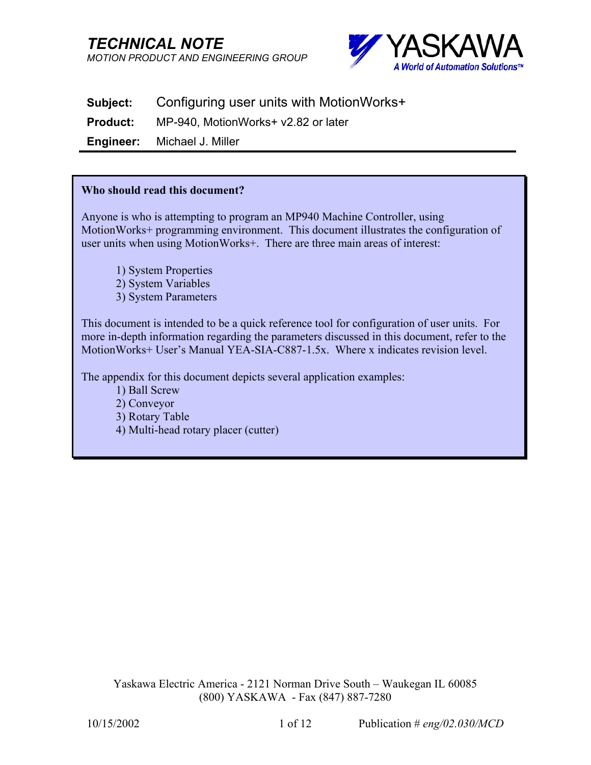*TECHNICAL NOTE MOTION PRODUCT AND ENGINEERING GROUP*



**Subject:** Configuring user units with MotionWorks+

**Product:** MP-940, MotionWorks+ v2.82 or later

**Engineer:** Michael J. Miller

#### **Who should read this document?**

Anyone is who is attempting to program an MP940 Machine Controller, using MotionWorks+ programming environment. This document illustrates the configuration of user units when using MotionWorks+. There are three main areas of interest:

1) System Properties 2) System Variables 3) System Parameters

This document is intended to be a quick reference tool for configuration of user units. For more in-depth information regarding the parameters discussed in this document, refer to the MotionWorks+ User's Manual YEA-SIA-C887-1.5x. Where x indicates revision level.

The appendix for this document depicts several application examples:

- 1) Ball Screw
- 2) Conveyor
- 3) Rotary Table
- 4) Multi-head rotary placer (cutter)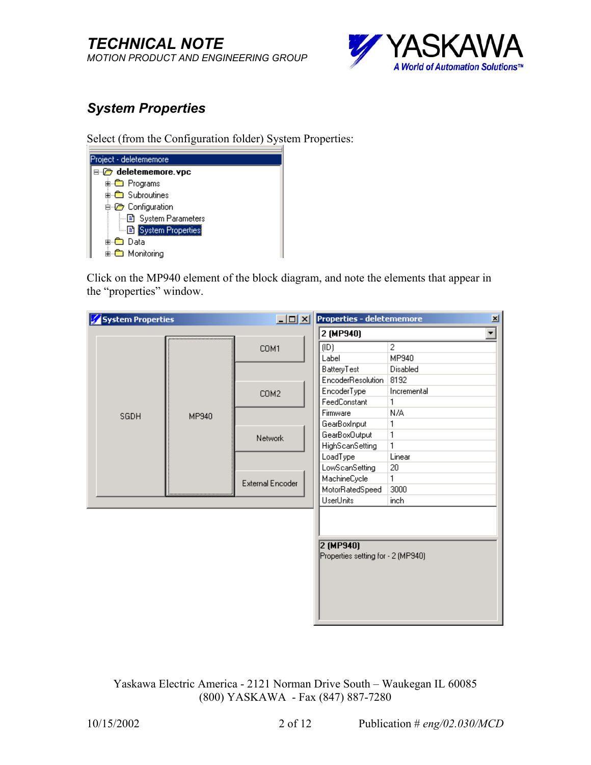

# *System Properties*

Select (from the Configuration folder) System Properties:

| Project - deletememore |  |
|------------------------|--|
| ⊟-@ deletememore.vpc   |  |
| <b>‡⊢ணி Programs</b>   |  |
| 由-- Subroutines        |  |
| <b>E</b> Configuration |  |
| - 国 System Parameters  |  |
| - B System Properties  |  |
| ni⊹©a Data             |  |
| 由 Monitoring           |  |

Click on the MP940 element of the block diagram, and note the elements that appear in the "properties" window.

| <b>System Properties</b> |       | $ Z =  Z $              | <b>Properties - deletememore</b>                  |                | 国                    |
|--------------------------|-------|-------------------------|---------------------------------------------------|----------------|----------------------|
|                          |       |                         | 2 (MP940)                                         |                | $\blacktriangledown$ |
|                          |       | COM1                    | (1D)                                              | $\overline{c}$ |                      |
|                          |       |                         | Label                                             | MP940          |                      |
|                          |       |                         | BatteryTest                                       | Disabled       |                      |
|                          |       |                         | EncoderResolution                                 | 8192           |                      |
|                          |       | COM <sub>2</sub>        | EncoderType                                       | Incremental    |                      |
|                          |       |                         | FeedConstant                                      | 1              |                      |
| SGDH                     | MP940 |                         | Firmware                                          | N/A            |                      |
|                          |       |                         | GearBoxInput                                      | 1              |                      |
|                          |       | Network                 | GearBoxOutput                                     | 1              |                      |
|                          |       |                         | <b>HighScanSetting</b>                            | 1              |                      |
|                          |       |                         | LoadType                                          | Linear         |                      |
|                          |       |                         | LowScanSetting                                    | 20             |                      |
|                          |       | <b>External Encoder</b> | MachineCycle                                      | 1              |                      |
|                          |       |                         | MotorRatedSpeed                                   | 3000           |                      |
|                          |       |                         | <b>UserUnits</b>                                  | inch           |                      |
|                          |       |                         | $2$ (MP940)<br>Properties setting for - 2 (MP940) |                |                      |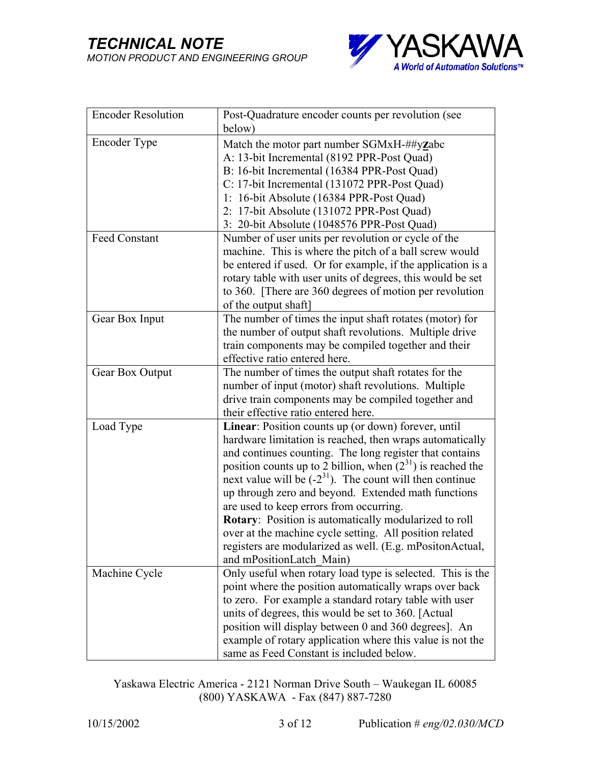

| <b>Encoder Resolution</b> | Post-Quadrature encoder counts per revolution (see              |
|---------------------------|-----------------------------------------------------------------|
|                           | below)                                                          |
| Encoder Type              | Match the motor part number SGMxH-##yzabc                       |
|                           | A: 13-bit Incremental (8192 PPR-Post Quad)                      |
|                           | B: 16-bit Incremental (16384 PPR-Post Quad)                     |
|                           | C: 17-bit Incremental (131072 PPR-Post Quad)                    |
|                           | 1: 16-bit Absolute (16384 PPR-Post Quad)                        |
|                           | 2: 17-bit Absolute (131072 PPR-Post Quad)                       |
|                           | 3: 20-bit Absolute (1048576 PPR-Post Quad)                      |
| Feed Constant             | Number of user units per revolution or cycle of the             |
|                           | machine. This is where the pitch of a ball screw would          |
|                           | be entered if used. Or for example, if the application is a     |
|                           | rotary table with user units of degrees, this would be set      |
|                           | to 360. [There are 360 degrees of motion per revolution         |
|                           | of the output shaft]                                            |
| Gear Box Input            | The number of times the input shaft rotates (motor) for         |
|                           | the number of output shaft revolutions. Multiple drive          |
|                           | train components may be compiled together and their             |
|                           | effective ratio entered here.                                   |
| Gear Box Output           | The number of times the output shaft rotates for the            |
|                           | number of input (motor) shaft revolutions. Multiple             |
|                           | drive train components may be compiled together and             |
|                           | their effective ratio entered here.                             |
| Load Type                 | Linear: Position counts up (or down) forever, until             |
|                           | hardware limitation is reached, then wraps automatically        |
|                           | and continues counting. The long register that contains         |
|                           | position counts up to 2 billion, when $(2^{31})$ is reached the |
|                           | next value will be $(-2^{31})$ . The count will then continue   |
|                           | up through zero and beyond. Extended math functions             |
|                           | are used to keep errors from occurring.                         |
|                           | Rotary: Position is automatically modularized to roll           |
|                           | over at the machine cycle setting. All position related         |
|                           | registers are modularized as well. (E.g. mPositonActual,        |
|                           | and mPositionLatch Main)                                        |
| Machine Cycle             | Only useful when rotary load type is selected. This is the      |
|                           | point where the position automatically wraps over back          |
|                           | to zero. For example a standard rotary table with user          |
|                           | units of degrees, this would be set to 360. [Actual]            |
|                           | position will display between 0 and 360 degrees]. An            |
|                           | example of rotary application where this value is not the       |
|                           | same as Feed Constant is included below.                        |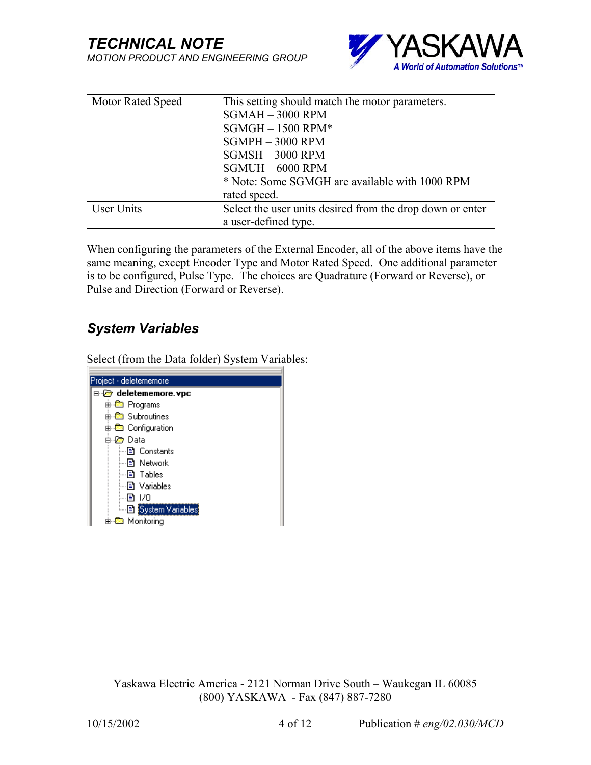

| <b>Motor Rated Speed</b> | This setting should match the motor parameters.           |
|--------------------------|-----------------------------------------------------------|
|                          | $SGMAH - 3000$ RPM                                        |
|                          | $SGMGH - 1500$ RPM*                                       |
|                          | $SGMPH - 3000$ RPM                                        |
|                          | $SGMSH - 3000$ RPM                                        |
|                          | $SGMUH - 6000$ RPM                                        |
|                          | * Note: Some SGMGH are available with 1000 RPM            |
|                          | rated speed.                                              |
| User Units               | Select the user units desired from the drop down or enter |
|                          | a user-defined type.                                      |

When configuring the parameters of the External Encoder, all of the above items have the same meaning, except Encoder Type and Motor Rated Speed. One additional parameter is to be configured, Pulse Type. The choices are Quadrature (Forward or Reverse), or Pulse and Direction (Forward or Reverse).

## *System Variables*

Select (from the Data folder) System Variables:

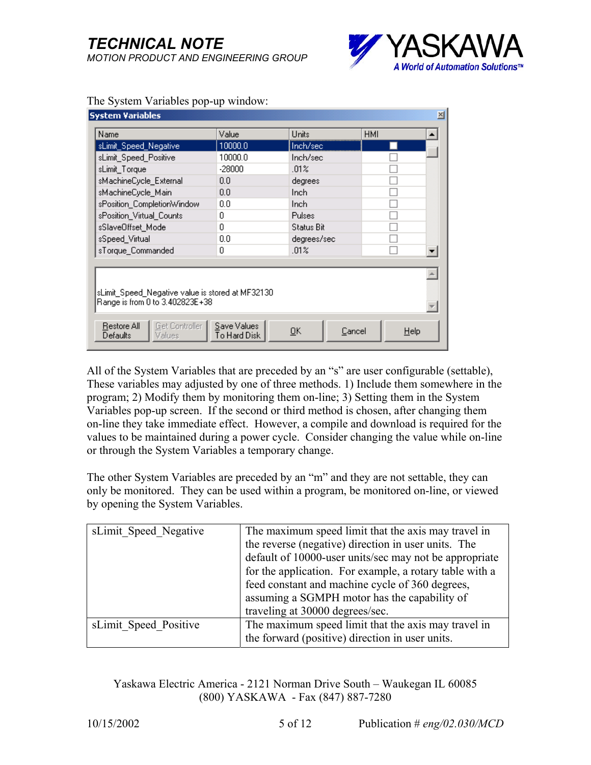

| ⊠<br>System Variables                                                                                        |         |               |            |  |
|--------------------------------------------------------------------------------------------------------------|---------|---------------|------------|--|
| Name                                                                                                         | Value   | Units         | <b>HMI</b> |  |
| sLimit_Speed_Negative                                                                                        | 10000.0 | Inch/sec      |            |  |
| sLimit_Speed_Positive                                                                                        | 10000.0 | Inch/sec      |            |  |
| sLimit_Torque                                                                                                | -28000  | .01%          |            |  |
| sMachineCycle_External                                                                                       | 0.0     | degrees       |            |  |
| sMachineCycle Main                                                                                           | 0.0     | Inch          |            |  |
| sPosition_CompletionWindow                                                                                   | 0.0     | Inch.         |            |  |
| sPosition_Virtual_Counts                                                                                     | f)      | <b>Pulses</b> |            |  |
| sSlaveOffset Mode                                                                                            | n       | Status Biti   |            |  |
| sSpeed_Virtual                                                                                               | 0.0     | degrees/sec   |            |  |
| sTorque_Commanded                                                                                            | n       | .01%          |            |  |
| sLimit. Speed: Negative value is stored at MF32130.<br>Range is from 0 to 3.402823E+38                       |         |               |            |  |
| Get Controller  <br>Save Values<br>Restore All<br>QK<br>Cancel<br>Help<br>To Hard Disk<br>Values<br>Defaults |         |               |            |  |

#### The System Variables pop-up window:

All of the System Variables that are preceded by an "s" are user configurable (settable), These variables may adjusted by one of three methods. 1) Include them somewhere in the program; 2) Modify them by monitoring them on-line; 3) Setting them in the System Variables pop-up screen. If the second or third method is chosen, after changing them on-line they take immediate effect. However, a compile and download is required for the values to be maintained during a power cycle. Consider changing the value while on-line or through the System Variables a temporary change.

The other System Variables are preceded by an "m" and they are not settable, they can only be monitored. They can be used within a program, be monitored on-line, or viewed by opening the System Variables.

| sLimit Speed Negative | The maximum speed limit that the axis may travel in<br>the reverse (negative) direction in user units. The<br>default of 10000-user units/sec may not be appropriate<br>for the application. For example, a rotary table with a<br>feed constant and machine cycle of 360 degrees,<br>assuming a SGMPH motor has the capability of |
|-----------------------|------------------------------------------------------------------------------------------------------------------------------------------------------------------------------------------------------------------------------------------------------------------------------------------------------------------------------------|
|                       | traveling at 30000 degrees/sec.                                                                                                                                                                                                                                                                                                    |
| sLimit Speed Positive | The maximum speed limit that the axis may travel in<br>the forward (positive) direction in user units.                                                                                                                                                                                                                             |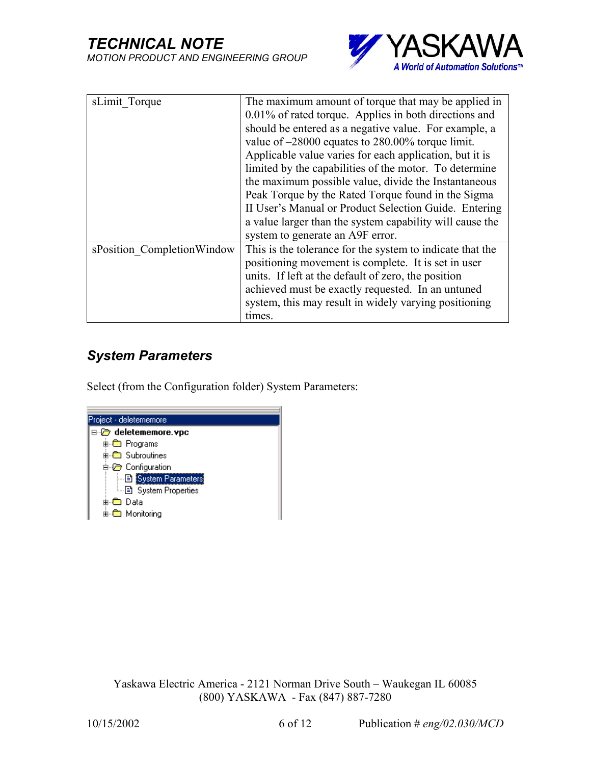

| sLimit Torque              | The maximum amount of torque that may be applied in       |
|----------------------------|-----------------------------------------------------------|
|                            |                                                           |
|                            | 0.01% of rated torque. Applies in both directions and     |
|                            | should be entered as a negative value. For example, a     |
|                            | value of $-28000$ equates to 280.00% torque limit.        |
|                            | Applicable value varies for each application, but it is   |
|                            | limited by the capabilities of the motor. To determine    |
|                            | the maximum possible value, divide the Instantaneous      |
|                            | Peak Torque by the Rated Torque found in the Sigma        |
|                            | II User's Manual or Product Selection Guide. Entering     |
|                            | a value larger than the system capability will cause the  |
|                            | system to generate an A9F error.                          |
| sPosition CompletionWindow | This is the tolerance for the system to indicate that the |
|                            | positioning movement is complete. It is set in user       |
|                            | units. If left at the default of zero, the position       |
|                            | achieved must be exactly requested. In an untuned         |
|                            | system, this may result in widely varying positioning     |
|                            | times.                                                    |

### *System Parameters*

Select (from the Configuration folder) System Parameters:

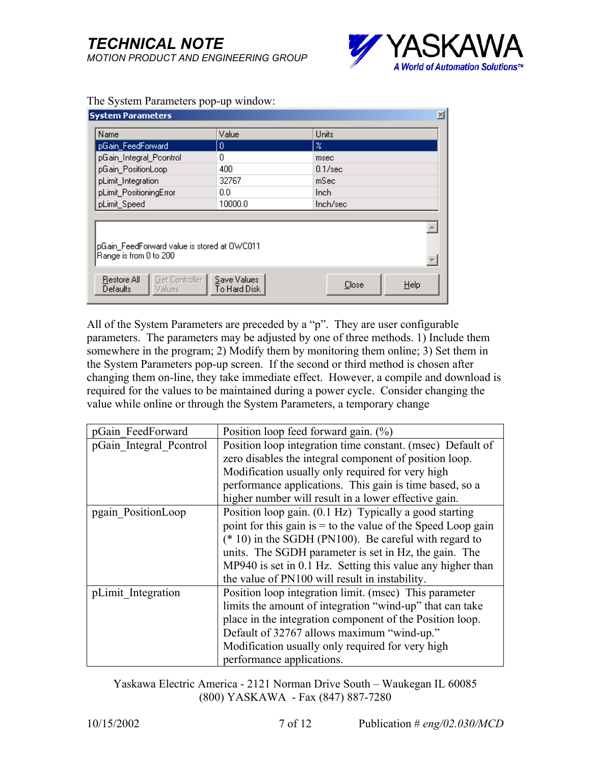

| <b>System Parameters</b>                                                                            |         |                           | $\times$ |
|-----------------------------------------------------------------------------------------------------|---------|---------------------------|----------|
| Name                                                                                                | Value   | Units                     |          |
| pGain_FeedForward                                                                                   | 0       | $\boldsymbol{\mathsf{z}}$ |          |
| pGain_Integral_Pcontrol                                                                             | 0       | msec                      |          |
| pGain_PositionLoop                                                                                  | 400     | $0.1/\text{sec}$          |          |
| pLimit_Integration                                                                                  | 32767   | mSec                      |          |
| pLimit_PositioningError                                                                             | 0.0     | Inch.                     |          |
| pLimit_Speed                                                                                        | 10000.0 | Inch/sec                  |          |
| pGain_FeedForward value is stored at OWC011<br>Range is from 0 to 200                               |         |                           |          |
| Get Controller<br>Restore All<br>Save Values<br>Help<br>Close<br>To Hard Disk<br>Defaults<br>Values |         |                           |          |

#### The System Parameters pop-up window:

All of the System Parameters are preceded by a " $p$ ". They are user configurable parameters. The parameters may be adjusted by one of three methods. 1) Include them somewhere in the program; 2) Modify them by monitoring them online; 3) Set them in the System Parameters pop-up screen. If the second or third method is chosen after changing them on-line, they take immediate effect. However, a compile and download is required for the values to be maintained during a power cycle. Consider changing the value while online or through the System Parameters, a temporary change

| pGain FeedForward       | Position loop feed forward gain. $(\%)$                        |
|-------------------------|----------------------------------------------------------------|
| pGain Integral Pcontrol | Position loop integration time constant. (msec) Default of     |
|                         | zero disables the integral component of position loop.         |
|                         | Modification usually only required for very high               |
|                         | performance applications. This gain is time based, so a        |
|                         | higher number will result in a lower effective gain.           |
| pgain PositionLoop      | Position loop gain. (0.1 Hz) Typically a good starting         |
|                         | point for this gain is $=$ to the value of the Speed Loop gain |
|                         | $(* 10)$ in the SGDH (PN100). Be careful with regard to        |
|                         | units. The SGDH parameter is set in Hz, the gain. The          |
|                         | MP940 is set in 0.1 Hz. Setting this value any higher than     |
|                         | the value of PN100 will result in instability.                 |
| pLimit Integration      | Position loop integration limit. (msec) This parameter         |
|                         | limits the amount of integration "wind-up" that can take       |
|                         | place in the integration component of the Position loop.       |
|                         | Default of 32767 allows maximum "wind-up."                     |
|                         | Modification usually only required for very high               |
|                         | performance applications.                                      |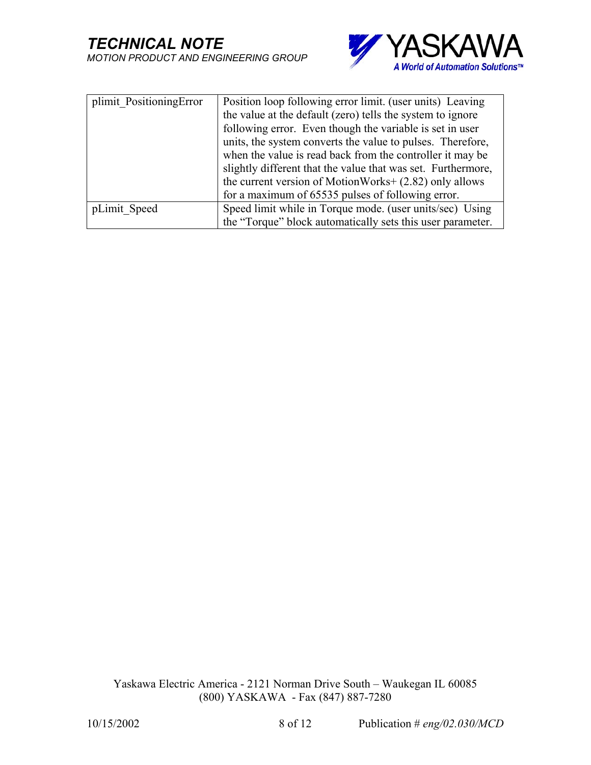

| plimit PositioningError | Position loop following error limit. (user units) Leaving    |
|-------------------------|--------------------------------------------------------------|
|                         | the value at the default (zero) tells the system to ignore   |
|                         | following error. Even though the variable is set in user     |
|                         | units, the system converts the value to pulses. Therefore,   |
|                         | when the value is read back from the controller it may be    |
|                         | slightly different that the value that was set. Furthermore, |
|                         | the current version of MotionWorks+ (2.82) only allows       |
|                         | for a maximum of 65535 pulses of following error.            |
| pLimit Speed            | Speed limit while in Torque mode. (user units/sec) Using     |
|                         | the "Torque" block automatically sets this user parameter.   |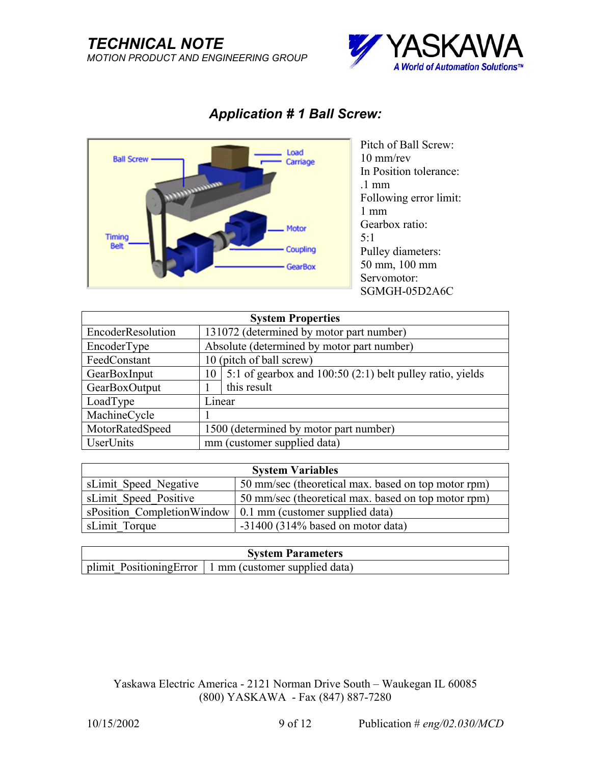### *TECHNICAL NOTE MOTION PRODUCT AND ENGINEERING GROUP*





### *Application # 1 Ball Screw:*

Pitch of Ball Screw: 10 mm/rev In Position tolerance: .1 mm Following error limit: 1 mm Gearbox ratio: 5:1 Pulley diameters: 50 mm, 100 mm Servomotor: SGMGH-05D2A6C

| <b>System Properties</b> |                                        |                                                           |  |  |
|--------------------------|----------------------------------------|-----------------------------------------------------------|--|--|
| EncoderResolution        |                                        | 131072 (determined by motor part number)                  |  |  |
| EncoderType              |                                        | Absolute (determined by motor part number)                |  |  |
| FeedConstant             |                                        | 10 (pitch of ball screw)                                  |  |  |
| GearBoxInput             | 10                                     | 5:1 of gearbox and 100:50 (2:1) belt pulley ratio, yields |  |  |
| GearBoxOutput            |                                        | this result                                               |  |  |
| LoadType                 | Linear                                 |                                                           |  |  |
| MachineCycle             |                                        |                                                           |  |  |
| MotorRatedSpeed          | 1500 (determined by motor part number) |                                                           |  |  |
| <b>UserUnits</b>         | mm (customer supplied data)            |                                                           |  |  |

| <b>System Variables</b>    |                                                     |  |
|----------------------------|-----------------------------------------------------|--|
| sLimit Speed Negative      | 50 mm/sec (theoretical max. based on top motor rpm) |  |
| sLimit Speed Positive      | 50 mm/sec (theoretical max. based on top motor rpm) |  |
| sPosition CompletionWindow | $\vert$ 0.1 mm (customer supplied data)             |  |
| sLimit Torque              | $-31400$ (314% based on motor data)                 |  |

| <b>System Parameters</b> |                                                                        |  |
|--------------------------|------------------------------------------------------------------------|--|
|                          | $\vert$ plimit Positioning Error $\vert$ 1 mm (customer supplied data) |  |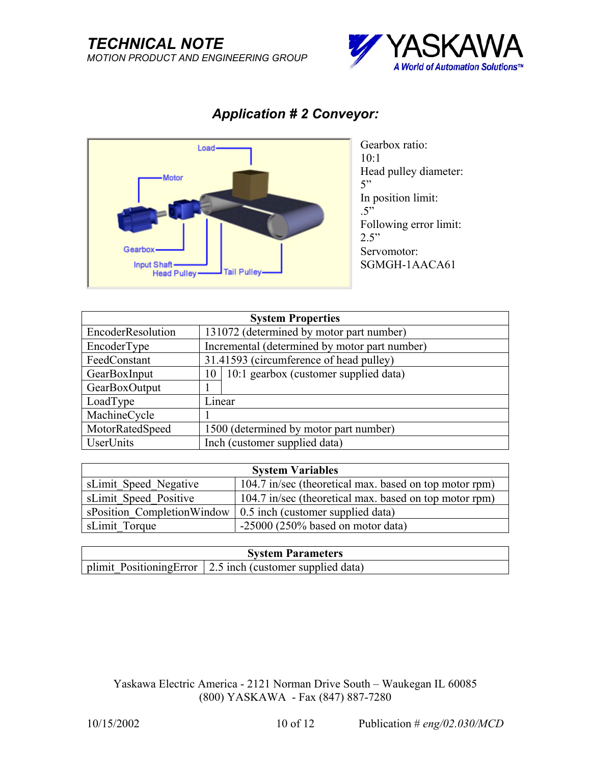

# *Application # 2 Conveyor:*



Gearbox ratio:  $10:1$ Head pulley diameter:  $5$ " In position limit:  $.5$ " Following error limit:  $2.5$ " Servomotor: SGMGH-1AACA61

| <b>System Properties</b> |                                               |  |
|--------------------------|-----------------------------------------------|--|
| EncoderResolution        | 131072 (determined by motor part number)      |  |
| EncoderType              | Incremental (determined by motor part number) |  |
| FeedConstant             | 31.41593 (circumference of head pulley)       |  |
| GearBoxInput             | 10:1 gearbox (customer supplied data)<br>10   |  |
| GearBoxOutput            |                                               |  |
| LoadType                 | Linear                                        |  |
| MachineCycle             |                                               |  |
| MotorRatedSpeed          | 1500 (determined by motor part number)        |  |
| <b>UserUnits</b>         | Inch (customer supplied data)                 |  |

| <b>System Variables</b> |                                                                        |  |
|-------------------------|------------------------------------------------------------------------|--|
| sLimit Speed Negative   | 104.7 in/sec (theoretical max. based on top motor rpm)                 |  |
| sLimit Speed Positive   | 104.7 in/sec (theoretical max. based on top motor rpm)                 |  |
|                         | s Position Completion Window $\vert$ 0.5 inch (customer supplied data) |  |
| sLimit Torque           | $-25000$ (250% based on motor data)                                    |  |

| <b>System Parameters</b> |                                                                            |  |
|--------------------------|----------------------------------------------------------------------------|--|
|                          | $\vert$ plimit Positioning Error $\vert$ 2.5 inch (customer supplied data) |  |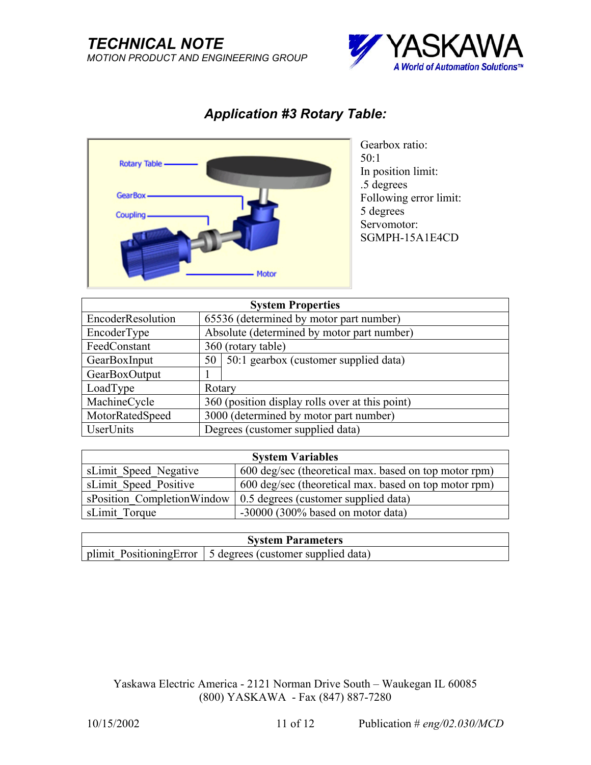### *TECHNICAL NOTE MOTION PRODUCT AND ENGINEERING GROUP*



## *Application #3 Rotary Table:*



Gearbox ratio: 50:1 In position limit: .5 degrees Following error limit: 5 degrees Servomotor: SGMPH-15A1E4CD

| <b>System Properties</b> |        |                                                 |  |
|--------------------------|--------|-------------------------------------------------|--|
| EncoderResolution        |        | 65536 (determined by motor part number)         |  |
| EncoderType              |        | Absolute (determined by motor part number)      |  |
| FeedConstant             |        | 360 (rotary table)                              |  |
| GearBoxInput             |        | 50   50:1 gearbox (customer supplied data)      |  |
| GearBoxOutput            |        |                                                 |  |
| LoadType                 | Rotary |                                                 |  |
| MachineCycle             |        | 360 (position display rolls over at this point) |  |
| MotorRatedSpeed          |        | 3000 (determined by motor part number)          |  |
| UserUnits                |        | Degrees (customer supplied data)                |  |

| <b>System Variables</b>    |                                                       |  |
|----------------------------|-------------------------------------------------------|--|
| sLimit Speed Negative      | 600 deg/sec (theoretical max. based on top motor rpm) |  |
| sLimit Speed Positive      | 600 deg/sec (theoretical max. based on top motor rpm) |  |
| sPosition CompletionWindow | 0.5 degrees (customer supplied data)                  |  |
| sLimit Torque              | $-30000$ (300% based on motor data)                   |  |

| <b>System Parameters</b> |                                                                             |  |
|--------------------------|-----------------------------------------------------------------------------|--|
|                          | $\vert$ plimit Positioning Error $\vert$ 5 degrees (customer supplied data) |  |